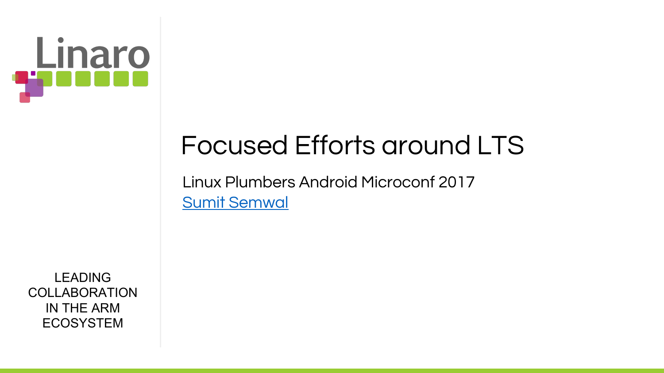

# Focused Efforts around LTS

Linux Plumbers Android Microconf 2017 [Sumit Semwal](mailto:sumit.semwal@linaro.org)

LEADING **COLLABORATION** IN THE ARM ECOSYSTEM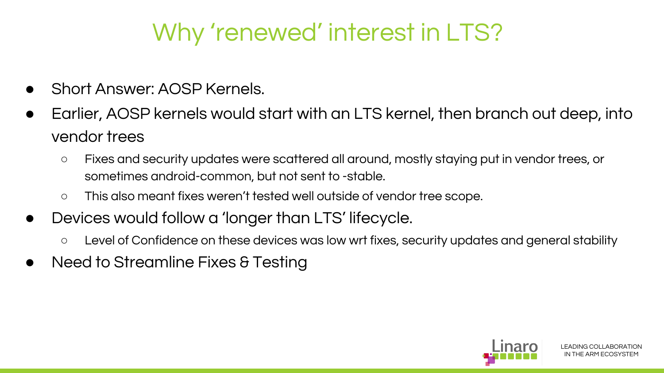### Why 'renewed' interest in LTS?

- Short Answer: AOSP Kernels.
- Earlier, AOSP kernels would start with an LTS kernel, then branch out deep, into vendor trees
	- Fixes and security updates were scattered all around, mostly staying put in vendor trees, or sometimes android-common, but not sent to -stable.
	- This also meant fixes weren't tested well outside of vendor tree scope.
- Devices would follow a 'longer than LTS' lifecycle.
	- Level of Confidence on these devices was low wrt fixes, security updates and general stability
- Need to Streamline Fixes & Testing

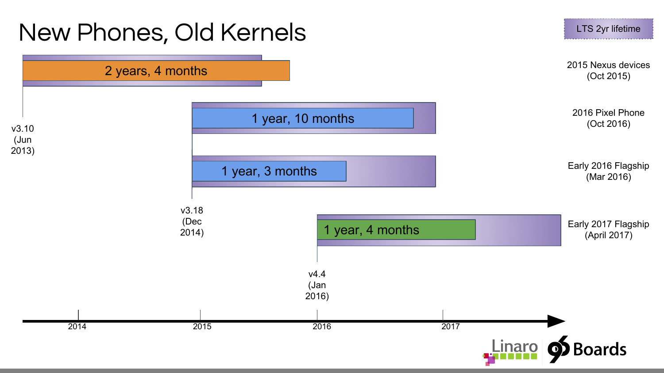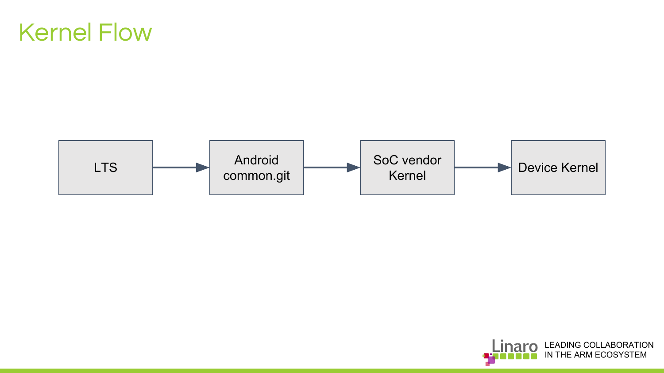#### Kernel Flow



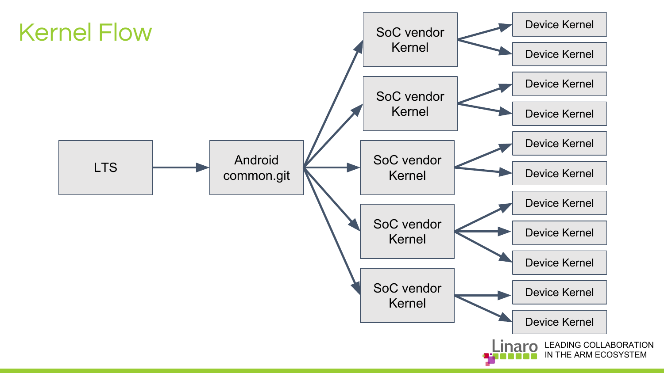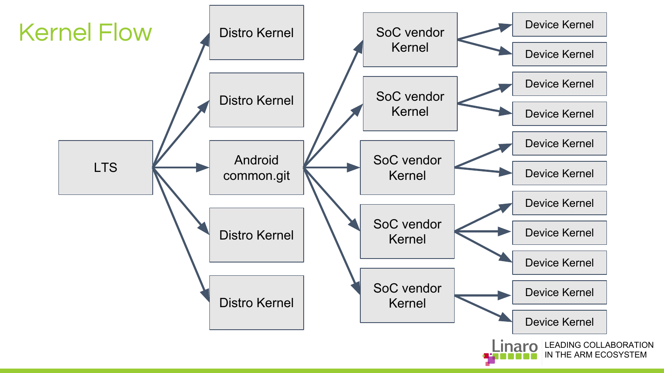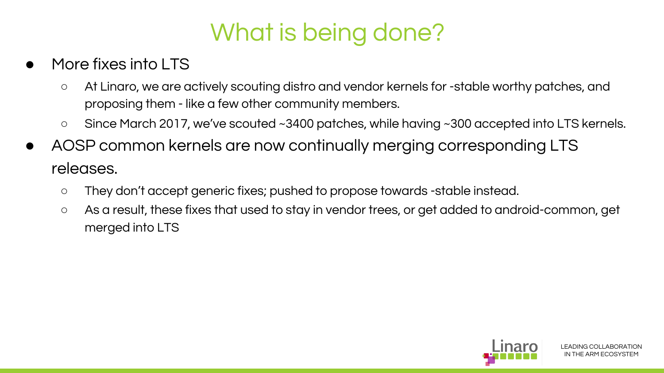### What is being done?

- More fixes into LTS
	- At Linaro, we are actively scouting distro and vendor kernels for -stable worthy patches, and proposing them - like a few other community members.
	- Since March 2017, we've scouted ~3400 patches, while having ~300 accepted into LTS kernels.
- AOSP common kernels are now continually merging corresponding LTS releases.
	- They don't accept generic fixes; pushed to propose towards -stable instead.
	- As a result, these fixes that used to stay in vendor trees, or get added to android-common, get merged into LTS

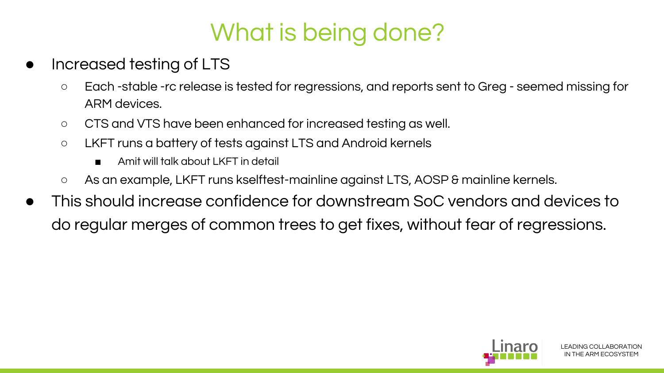## What is being done?

- Increased testing of LTS
	- Each -stable -rc release is tested for regressions, and reports sent to Greg seemed missing for ARM devices.
	- CTS and VTS have been enhanced for increased testing as well.
	- LKFT runs a battery of tests against LTS and Android kernels
		- Amit will talk about LKFT in detail
	- As an example, LKFT runs kselftest-mainline against LTS, AOSP & mainline kernels.
- This should increase confidence for downstream SoC vendors and devices to do regular merges of common trees to get fixes, without fear of regressions.

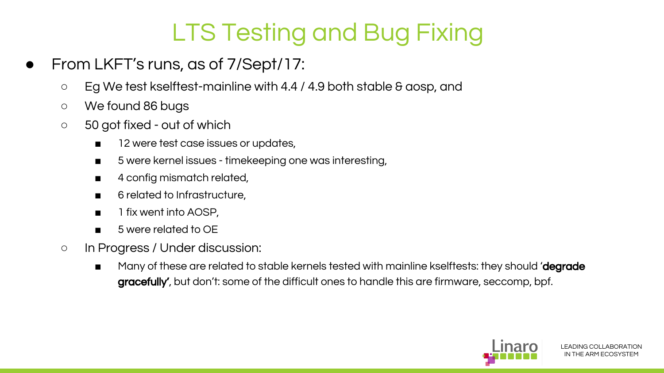# LTS Testing and Bug Fixing

- From LKFT's runs, as of 7/Sept/17:
	- Eg We test kselftest-mainline with 4.4 / 4.9 both stable & aosp, and
	- We found 86 bugs
	- 50 got fixed out of which
		- 12 were test case issues or updates,
		- 5 were kernel issues timekeeping one was interesting,
		- 4 config mismatch related,
		- 6 related to Infrastructure.
		- 1 fix went into AOSP,
		- 5 were related to OE
	- In Progress / Under discussion:
		- Many of these are related to stable kernels tested with mainline kselftests: they should 'degrade gracefully', but don't: some of the difficult ones to handle this are firmware, seccomp, bpf.

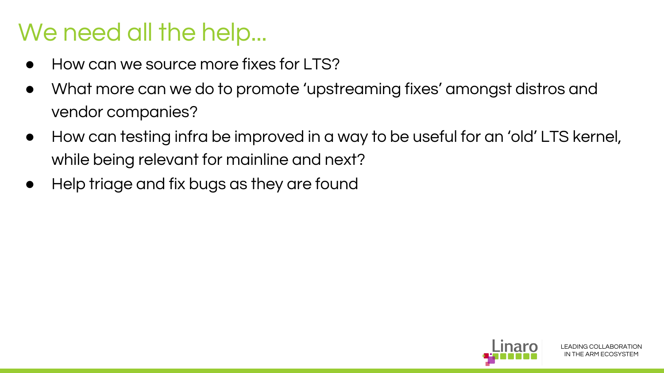#### We need all the help...

- How can we source more fixes for LTS?
- What more can we do to promote 'upstreaming fixes' amongst distros and vendor companies?
- How can testing infra be improved in a way to be useful for an 'old' LTS kernel, while being relevant for mainline and next?
- Help triage and fix bugs as they are found